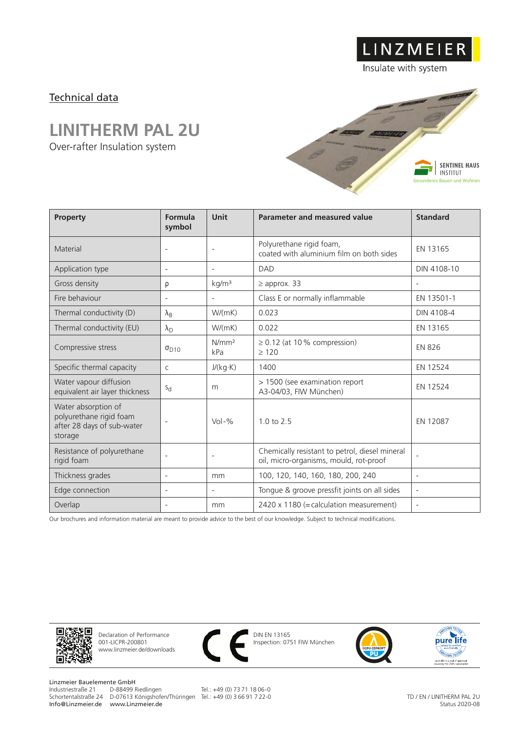## Technical data

## **LINITHERM PAL 2U**

Over-rafter Insulation system



LINZMEIER

Insulate with system

| Property                                                                                | Formula<br>symbol        | Unit                     | Parameter and measured value                                                             | <b>Standard</b>          |
|-----------------------------------------------------------------------------------------|--------------------------|--------------------------|------------------------------------------------------------------------------------------|--------------------------|
| Material                                                                                |                          |                          | Polyurethane rigid foam,<br>coated with aluminium film on both sides                     | EN 13165                 |
| Application type                                                                        | $\overline{\phantom{a}}$ | $\overline{\phantom{a}}$ | <b>DAD</b>                                                                               | DIN 4108-10              |
| Gross density                                                                           | ρ                        | kg/m <sup>3</sup>        | $\geq$ approx. 33                                                                        | $\overline{\phantom{a}}$ |
| Fire behaviour                                                                          | $\overline{\phantom{a}}$ | $\overline{\phantom{a}}$ | Class E or normally inflammable                                                          | EN 13501-1               |
| Thermal conductivity (D)                                                                | $\lambda_{\rm B}$        | W/(mK)                   | 0.023                                                                                    | DIN 4108-4               |
| Thermal conductivity (EU)                                                               | $\lambda_{\rm D}$        | W/(mK)                   | 0.022                                                                                    | EN 13165                 |
| Compressive stress                                                                      | $\sigma_{D10}$           | N/mm <sup>2</sup><br>kPa | $\geq$ 0.12 (at 10 % compression)<br>$\geq 120$                                          | <b>EN 826</b>            |
| Specific thermal capacity                                                               | $\mathsf{C}$             | J/(kg·K)                 | 1400                                                                                     | EN 12524                 |
| Water vapour diffusion<br>equivalent air layer thickness                                | $S_{d}$                  | m                        | > 1500 (see examination report<br>A3-04/03, FIW München)                                 | EN 12524                 |
| Water absorption of<br>polyurethane rigid foam<br>after 28 days of sub-water<br>storage | $\overline{\phantom{a}}$ | $Vol - %$                | $1.0 \text{ to } 2.5$                                                                    | EN 12087                 |
| Resistance of polyurethane<br>rigid foam                                                | $\overline{\phantom{a}}$ | $\overline{a}$           | Chemically resistant to petrol, diesel mineral<br>oil, micro-organisms, mould, rot-proof | $\overline{\phantom{a}}$ |
| Thickness grades                                                                        | $\overline{\phantom{a}}$ | mm                       | 100, 120, 140, 160, 180, 200, 240                                                        | $\overline{\phantom{a}}$ |
| Edge connection                                                                         | $\overline{\phantom{a}}$ | $\overline{a}$           | Tongue & groove pressfit joints on all sides                                             | $\overline{\phantom{a}}$ |
| Overlap                                                                                 | $\overline{\phantom{a}}$ | mm                       | 2420 x 1180 (= calculation measurement)                                                  | $\overline{\phantom{a}}$ |

Our brochures and information material are meant to provide advice to the best of our knowledge. Subject to technical modifications.



Declaration of Performance 001-LICPR-200801 www.linzmeier.de/downloads



DIN EN 13165 Inspection: 0751 FIW München





Linzmeier Bauelemente GmbH<br>Industriestraße 21 D-88499 Riedlingen Schortentalstraße 24 D-07613 Königshofen/Thüringen Tel.: +49 (0) 3 66 91 7 22-0 Info@Linzmeier.de www.Linzmeier.de

Tel.: +49 (0) 73 71 18 06-0

TD / EN / LINITHERM PAL 2U Status 2020-08